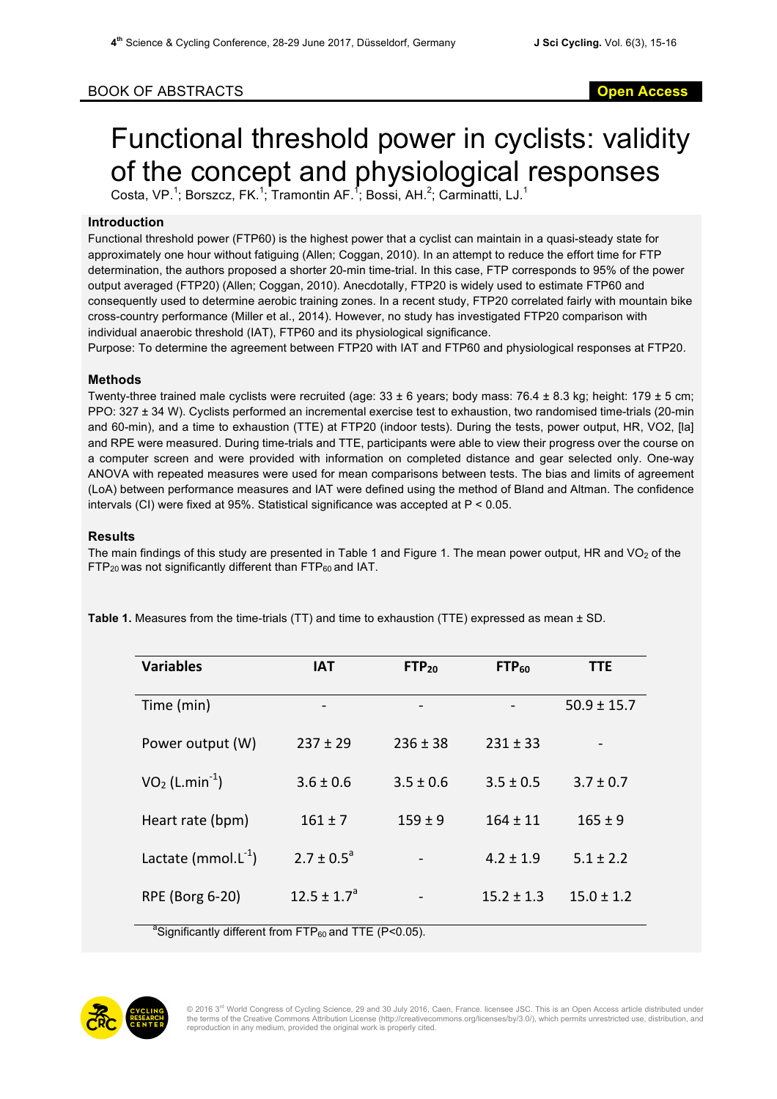# BOOK OF ABSTRACTS **Open Access**

# Functional threshold power in cyclists: validity of the concept and physiological responses

Costa, VP.<sup>1</sup>; Borszcz, FK.<sup>1</sup>; Tramontin AF.<sup>1</sup>; Bossi, AH.<sup>2</sup>; Carminatti, LJ.<sup>1</sup>

## **Introduction**

Functional threshold power (FTP60) is the highest power that a cyclist can maintain in a quasi-steady state for approximately one hour without fatiguing (Allen; Coggan, 2010). In an attempt to reduce the effort time for FTP determination, the authors proposed a shorter 20-min time-trial. In this case, FTP corresponds to 95% of the power output averaged (FTP20) (Allen; Coggan, 2010). Anecdotally, FTP20 is widely used to estimate FTP60 and consequently used to determine aerobic training zones. In a recent study, FTP20 correlated fairly with mountain bike cross-country performance (Miller et al., 2014). However, no study has investigated FTP20 comparison with individual anaerobic threshold (IAT), FTP60 and its physiological significance.

Purpose: To determine the agreement between FTP20 with IAT and FTP60 and physiological responses at FTP20.

# **Methods**

Twenty-three trained male cyclists were recruited (age:  $33 \pm 6$  years; body mass: 76.4  $\pm$  8.3 kg; height: 179  $\pm$  5 cm; PPO: 327 ± 34 W). Cyclists performed an incremental exercise test to exhaustion, two randomised time-trials (20-min and 60-min), and a time to exhaustion (TTE) at FTP20 (indoor tests). During the tests, power output, HR, VO2, [la] and RPE were measured. During time-trials and TTE, participants were able to view their progress over the course on a computer screen and were provided with information on completed distance and gear selected only. One-way ANOVA with repeated measures were used for mean comparisons between tests. The bias and limits of agreement (LoA) between performance measures and IAT were defined using the method of Bland and Altman. The confidence intervals (CI) were fixed at 95%. Statistical significance was accepted at P < 0.05.

### **Results**

The main findings of this study are presented in Table 1 and Figure 1. The mean power output, HR and  $VO<sub>2</sub>$  of the  $FTP_{20}$  was not significantly different than  $FTP_{60}$  and IAT.

| <b>Variables</b>          | <b>IAT</b>       | $FTP_{20}$    | FTP <sub>60</sub> | <b>TTE</b>      |
|---------------------------|------------------|---------------|-------------------|-----------------|
| Time (min)                |                  |               |                   | $50.9 \pm 15.7$ |
| Power output (W)          | $237 \pm 29$     | $236 \pm 38$  | $231 \pm 33$      |                 |
| $VO2 (L.min-1)$           | $3.6 \pm 0.6$    | $3.5 \pm 0.6$ | $3.5 \pm 0.5$     | $3.7 \pm 0.7$   |
| Heart rate (bpm)          | $161 \pm 7$      | $159 \pm 9$   | $164 \pm 11$      | $165 \pm 9$     |
| Lactate (mmol. $L^{-1}$ ) | $2.7 \pm 0.5^a$  |               | $4.2 \pm 1.9$     | $5.1 \pm 2.2$   |
| RPE (Borg 6-20)           | $12.5 \pm 1.7^a$ |               | $15.2 \pm 1.3$    | $15.0 \pm 1.2$  |
|                           |                  |               |                   |                 |

**Table 1.** Measures from the time-trials (TT) and time to exhaustion (TTE) expressed as mean ± SD.

<sup>a</sup> Significantly different from FTP $_{60}$  and TTE (P<0.05).